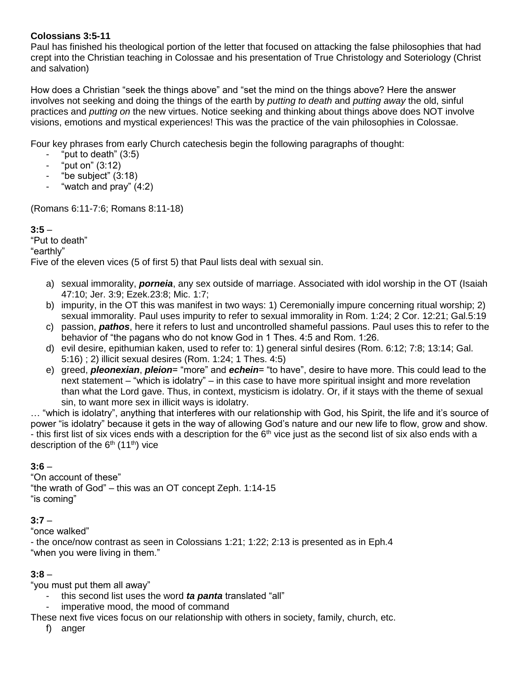#### **Colossians 3:5-11**

Paul has finished his theological portion of the letter that focused on attacking the false philosophies that had crept into the Christian teaching in Colossae and his presentation of True Christology and Soteriology (Christ and salvation)

How does a Christian "seek the things above" and "set the mind on the things above? Here the answer involves not seeking and doing the things of the earth by *putting to death* and *putting away* the old, sinful practices and *putting on* the new virtues. Notice seeking and thinking about things above does NOT involve visions, emotions and mystical experiences! This was the practice of the vain philosophies in Colossae.

Four key phrases from early Church catechesis begin the following paragraphs of thought:

- "put to death"  $(3:5)$
- "put on" (3:12)
- "be subject" (3:18)
- "watch and pray" (4:2)

(Romans 6:11-7:6; Romans 8:11-18)

#### **3:5** –

"Put to death"

#### "earthly"

Five of the eleven vices (5 of first 5) that Paul lists deal with sexual sin.

- a) sexual immorality, *porneia*, any sex outside of marriage. Associated with idol worship in the OT (Isaiah 47:10; Jer. 3:9; Ezek.23:8; Mic. 1:7;
- b) impurity, in the OT this was manifest in two ways: 1) Ceremonially impure concerning ritual worship; 2) sexual immorality. Paul uses impurity to refer to sexual immorality in Rom. 1:24; 2 Cor. 12:21; Gal.5:19
- c) passion, *pathos*, here it refers to lust and uncontrolled shameful passions. Paul uses this to refer to the behavior of "the pagans who do not know God in 1 Thes. 4:5 and Rom. 1:26.
- d) evil desire, epithumian kaken, used to refer to: 1) general sinful desires (Rom. 6:12; 7:8; 13:14; Gal. 5:16) ; 2) illicit sexual desires (Rom. 1:24; 1 Thes. 4:5)
- e) greed, *pleonexian*, *pleion*= "more" and *echein*= "to have", desire to have more. This could lead to the next statement – "which is idolatry" – in this case to have more spiritual insight and more revelation than what the Lord gave. Thus, in context, mysticism is idolatry. Or, if it stays with the theme of sexual sin, to want more sex in illicit ways is idolatry.

… "which is idolatry", anything that interferes with our relationship with God, his Spirit, the life and it's source of power "is idolatry" because it gets in the way of allowing God's nature and our new life to flow, grow and show. - this first list of six vices ends with a description for the  $6<sup>th</sup>$  vice just as the second list of six also ends with a description of the  $6<sup>th</sup>$  (11<sup>th</sup>) vice

## **3:6** –

"On account of these" "the wrath of God" – this was an OT concept Zeph. 1:14-15 "is coming"

## **3:7** –

"once walked"

- the once/now contrast as seen in Colossians 1:21; 1:22; 2:13 is presented as in Eph.4 "when you were living in them."

## **3:8** –

"you must put them all away"

- this second list uses the word *ta panta* translated "all"
- imperative mood, the mood of command

These next five vices focus on our relationship with others in society, family, church, etc.

f) anger